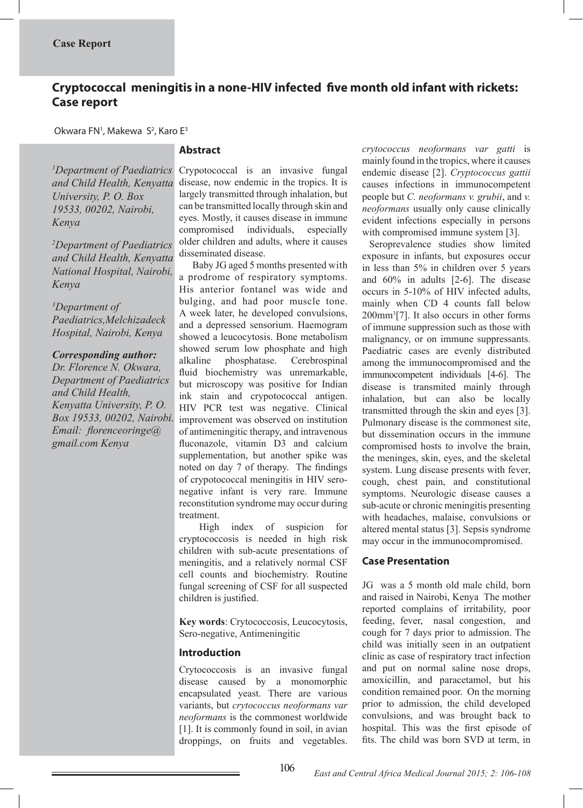# **Cryptococcal meningitis in a none-HIV infected five month old infant with rickets: Case report**

Okwara FN<sup>1</sup>, Makewa S<sup>2</sup>, Karo E<sup>3</sup>

*1 Department of Paediatrics and Child Health, Kenyatta University, P. O. Box 19533, 00202, Nairobi, Kenya* 

*2 Department of Paediatrics and Child Health, Kenyatta National Hospital, Nairobi, Kenya*

*3 Department of Paediatrics,Melchizadeck Hospital, Nairobi, Kenya* 

*Corresponding author: Dr. Florence N. Okwara, Department of Paediatrics and Child Health, Kenyatta University, P. O. Box 19533, 00202, Nairobi. Email: florenceoringe@*

*gmail.com Kenya* 

# **Abstract**

Crypotococcal is an invasive fungal disease, now endemic in the tropics. It is largely transmitted through inhalation, but can be transmitted locally through skin and eyes. Mostly, it causes disease in immune compromised individuals, especially older children and adults, where it causes disseminated disease.

 Baby JG aged 5 months presented with a prodrome of respiratory symptoms. His anterior fontanel was wide and bulging, and had poor muscle tone. A week later, he developed convulsions, and a depressed sensorium. Haemogram showed a leucocytosis. Bone metabolism showed serum low phosphate and high alkaline phosphatase. Cerebrospinal fluid biochemistry was unremarkable, but microscopy was positive for Indian ink stain and crypotococcal antigen. HIV PCR test was negative. Clinical improvement was observed on institution of antimeningitic therapy, and intravenous fluconazole, vitamin D3 and calcium supplementation, but another spike was noted on day 7 of therapy. The findings of crypotococcal meningitis in HIV seronegative infant is very rare. Immune reconstitution syndrome may occur during treatment.

 High index of suspicion for cryptococcosis is needed in high risk children with sub-acute presentations of meningitis, and a relatively normal CSF cell counts and biochemistry. Routine fungal screening of CSF for all suspected children is justified.

**Key words**: Crytococcosis, Leucocytosis, Sero-negative, Antimeningitic

## **Introduction**

Crytococcosis is an invasive fungal disease caused by a monomorphic encapsulated yeast. There are various variants, but *crytococcus neoformans var neoformans* is the commonest worldwide [1]. It is commonly found in soil, in avian droppings, on fruits and vegetables. *crytococcus neoformans var gatti* is mainly found in the tropics, where it causes endemic disease [2]. *Cryptococcus gattii* causes infections in immunocompetent people but *C. neoformans v. grubii*, and *v. neoformans* usually only cause clinically evident infections especially in persons with compromised immune system [3].

 Seroprevalence studies show limited exposure in infants, but exposures occur in less than 5% in children over 5 years and 60% in adults [2-6]. The disease occurs in 5-10% of HIV infected adults, mainly when CD 4 counts fall below 200mm<sup>3</sup> [7]. It also occurs in other forms of immune suppression such as those with malignancy, or on immune suppressants. Paediatric cases are evenly distributed among the immunocompromised and the immunocompetent individuals [4-6]. The disease is transmited mainly through inhalation, but can also be locally transmitted through the skin and eyes [3]. Pulmonary disease is the commonest site, but dissemination occurs in the immune compromised hosts to involve the brain, the meninges, skin, eyes, and the skeletal system. Lung disease presents with fever, cough, chest pain, and constitutional symptoms. Neurologic disease causes a sub-acute or chronic meningitis presenting with headaches, malaise, convulsions or altered mental status [3]. Sepsis syndrome may occur in the immunocompromised.

#### **Case Presentation**

JG was a 5 month old male child, born and raised in Nairobi, Kenya The mother reported complains of irritability, poor feeding, fever, nasal congestion, and cough for 7 days prior to admission. The child was initially seen in an outpatient clinic as case of respiratory tract infection and put on normal saline nose drops, amoxicillin, and paracetamol, but his condition remained poor. On the morning prior to admission, the child developed convulsions, and was brought back to hospital. This was the first episode of fits. The child was born SVD at term, in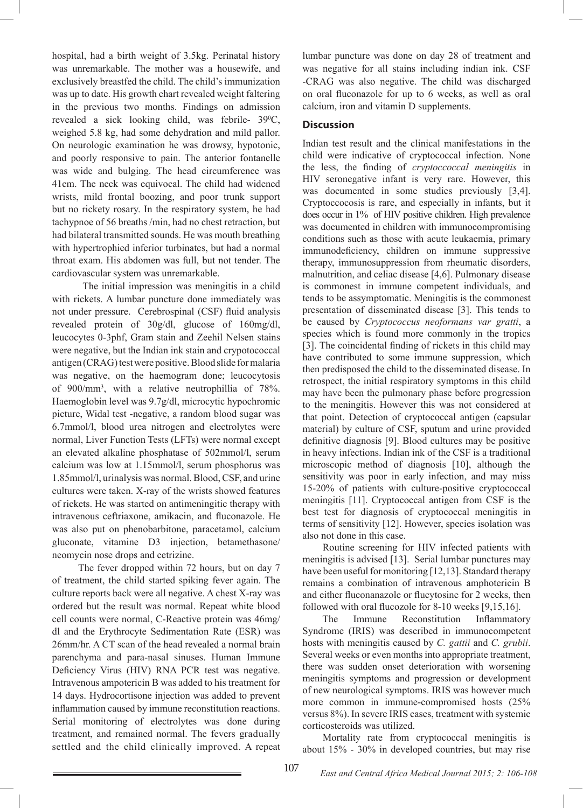hospital, had a birth weight of 3.5kg. Perinatal history was unremarkable. The mother was a housewife, and exclusively breastfed the child. The child's immunization was up to date. His growth chart revealed weight faltering in the previous two months. Findings on admission revealed a sick looking child, was febrile-  $39^{\circ}$ C, weighed 5.8 kg, had some dehydration and mild pallor. On neurologic examination he was drowsy, hypotonic, and poorly responsive to pain. The anterior fontanelle was wide and bulging. The head circumference was 41cm. The neck was equivocal. The child had widened wrists, mild frontal boozing, and poor trunk support but no rickety rosary. In the respiratory system, he had tachypnoe of 56 breaths /min, had no chest retraction, but had bilateral transmitted sounds. He was mouth breathing with hypertrophied inferior turbinates, but had a normal throat exam. His abdomen was full, but not tender. The cardiovascular system was unremarkable.

 The initial impression was meningitis in a child with rickets. A lumbar puncture done immediately was not under pressure. Cerebrospinal (CSF) fluid analysis revealed protein of 30g/dl, glucose of 160mg/dl, leucocytes 0-3phf, Gram stain and Zeehil Nelsen stains were negative, but the Indian ink stain and crypotococcal antigen (CRAG) test were positive. Blood slide for malaria was negative, on the haemogram done; leucocytosis of 900/mm3 , with a relative neutrophillia of 78%. Haemoglobin level was 9.7g/dl, microcytic hypochromic picture, Widal test -negative, a random blood sugar was 6.7mmol/l, blood urea nitrogen and electrolytes were normal, Liver Function Tests (LFTs) were normal except an elevated alkaline phosphatase of 502mmol/l, serum calcium was low at 1.15mmol/l, serum phosphorus was 1.85mmol/l, urinalysis was normal. Blood, CSF, and urine cultures were taken. X-ray of the wrists showed features of rickets. He was started on antimeningitic therapy with intravenous ceftriaxone, amikacin, and fluconazole. He was also put on phenobarbitone, paracetamol, calcium gluconate, vitamine D3 injection, betamethasone/ neomycin nose drops and cetrizine.

 The fever dropped within 72 hours, but on day 7 of treatment, the child started spiking fever again. The culture reports back were all negative. A chest X-ray was ordered but the result was normal. Repeat white blood cell counts were normal, C-Reactive protein was 46mg/ dl and the Erythrocyte Sedimentation Rate (ESR) was 26mm/hr. A CT scan of the head revealed a normal brain parenchyma and para-nasal sinuses. Human Immune Deficiency Virus (HIV) RNA PCR test was negative. Intravenous ampotericin B was added to his treatment for 14 days. Hydrocortisone injection was added to prevent inflammation caused by immune reconstitution reactions. Serial monitoring of electrolytes was done during treatment, and remained normal. The fevers gradually settled and the child clinically improved. A repeat

lumbar puncture was done on day 28 of treatment and was negative for all stains including indian ink. CSF -CRAG was also negative. The child was discharged on oral fluconazole for up to 6 weeks, as well as oral calcium, iron and vitamin D supplements.

# **Discussion**

Indian test result and the clinical manifestations in the child were indicative of cryptococcal infection. None the less, the finding of *cryptoccoccal meningitis* in HIV seronegative infant is very rare. However, this was documented in some studies previously [3,4]. Cryptoccocosis is rare, and especially in infants, but it does occur in 1% of HIV positive children. High prevalence was documented in children with immunocompromising conditions such as those with acute leukaemia, primary immunodeficiency, children on immune suppressive therapy, immunosuppression from rheumatic disorders, malnutrition, and celiac disease [4,6]. Pulmonary disease is commonest in immune competent individuals, and tends to be assymptomatic. Meningitis is the commonest presentation of disseminated disease [3]. This tends to be caused by *Cryptococcus neoformans var gratti*, a species which is found more commonly in the tropics [3]. The coincidental finding of rickets in this child may have contributed to some immune suppression, which then predisposed the child to the disseminated disease. In retrospect, the initial respiratory symptoms in this child may have been the pulmonary phase before progression to the meningitis. However this was not considered at that point. Detection of cryptococcal antigen (capsular material) by culture of CSF, sputum and urine provided definitive diagnosis [9]. Blood cultures may be positive in heavy infections. Indian ink of the CSF is a traditional microscopic method of diagnosis [10], although the sensitivity was poor in early infection, and may miss 15-20% of patients with culture-positive cryptococcal meningitis [11]. Cryptococcal antigen from CSF is the best test for diagnosis of cryptococcal meningitis in terms of sensitivity [12]. However, species isolation was also not done in this case.

 Routine screening for HIV infected patients with meningitis is advised [13]. Serial lumbar punctures may have been useful for monitoring [12,13]. Standard therapy remains a combination of intravenous amphotericin B and either fluconanazole or flucytosine for 2 weeks, then followed with oral flucozole for 8-10 weeks [9,15,16].

 The Immune Reconstitution Inflammatory Syndrome (IRIS) was described in immunocompetent hosts with meningitis caused by *C. gattii* and *C. grubii*. Several weeks or even months into appropriate treatment, there was sudden onset deterioration with worsening meningitis symptoms and progression or development of new neurological symptoms. IRIS was however much more common in immune-compromised hosts (25% versus 8%). In severe IRIS cases, treatment with systemic corticosteroids was utilized.

 Mortality rate from cryptococcal meningitis is about 15% - 30% in developed countries, but may rise